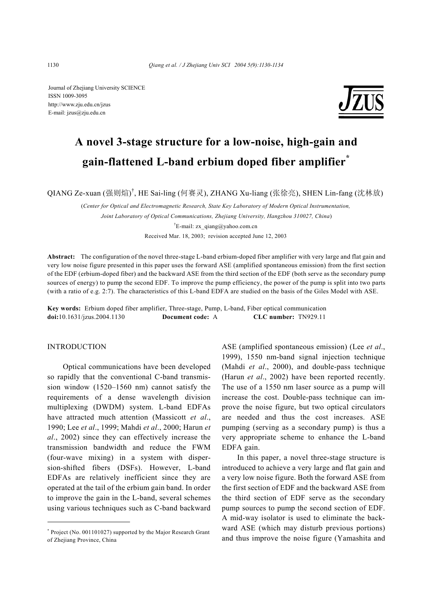Journal of Zhejiang University SCIENCE ISSN 1009-3095 http://www.zju.edu.cn/jzus E-mail: jzus@zju.edu.cn



# **A novel 3-stage structure for a low-noise, high-gain and gain-flattened L-band erbium doped fiber amplifier\***

QIANG Ze-xuan (强则煊) † , HE Sai-ling (何赛灵), ZHANG Xu-liang (张徐亮), SHEN Lin-fang (沈林放)

(*Center for Optical and Electromagnetic Research, State Key Laboratory of Modern Optical Instrumentation, Joint Laboratory of Optical Communications, Zhejiang University, Hangzhou 310027, China*) <sup>†</sup>E-mail: zx qiang@yahoo.com.cn Received Mar. 18, 2003; revision accepted June 12, 2003

**Abstract:** The configuration of the novel three-stage L-band erbium-doped fiber amplifier with very large and flat gain and very low noise figure presented in this paper uses the forward ASE (amplified spontaneous emission) from the first section of the EDF (erbium-doped fiber) and the backward ASE from the third section of the EDF (both serve as the secondary pump sources of energy) to pump the second EDF. To improve the pump efficiency, the power of the pump is split into two parts (with a ratio of e.g. 2:7). The characteristics of this L-band EDFA are studied on the basis of the Giles Model with ASE.

**Key words:** Erbium doped fiber amplifier, Three-stage, Pump, L-band, Fiber optical communication **doi:**10.1631/jzus.2004.1130 **Document code:** A **CLC number:** TN929.11

## **INTRODUCTION**

Optical communications have been developed so rapidly that the conventional C-band transmission window (1520–1560 nm) cannot satisfy the requirements of a dense wavelength division multiplexing (DWDM) system. L-band EDFAs have attracted much attention (Massicott *et al*., 1990; Lee *et al*., 1999; Mahdi *et al*., 2000; Harun *et al*., 2002) since they can effectively increase the transmission bandwidth and reduce the FWM (four-wave mixing) in a system with dispersion-shifted fibers (DSFs). However, L-band EDFAs are relatively inefficient since they are operated at the tail of the erbium gain band. In order to improve the gain in the L-band, several schemes using various techniques such as C-band backward ASE (amplified spontaneous emission) (Lee *et al*., 1999), 1550 nm-band signal injection technique (Mahdi *et al*., 2000), and double-pass technique (Harun *et al*., 2002) have been reported recently. The use of a 1550 nm laser source as a pump will increase the cost. Double-pass technique can improve the noise figure, but two optical circulators are needed and thus the cost increases. ASE pumping (serving as a secondary pump) is thus a very appropriate scheme to enhance the L-band EDFA gain.

In this paper, a novel three-stage structure is introduced to achieve a very large and flat gain and a very low noise figure. Both the forward ASE from the first section of EDF and the backward ASE from the third section of EDF serve as the secondary pump sources to pump the second section of EDF. A mid-way isolator is used to eliminate the backward ASE (which may disturb previous portions) and thus improve the noise figure (Yamashita and

<sup>\*</sup> Project (No. 001101027) supported by the Major Research Grant of Zhejiang Province, China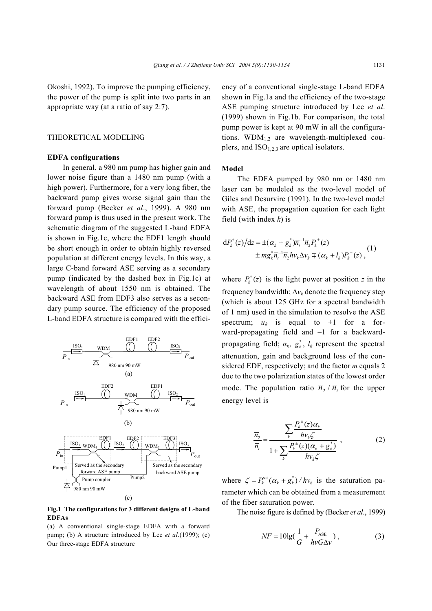Okoshi, 1992). To improve the pumping efficiency, the power of the pump is split into two parts in an appropriate way (at a ratio of say 2:7).

#### THEORETICAL MODELING

### **EDFA configurations**

In general, a 980 nm pump has higher gain and lower noise figure than a 1480 nm pump (with a high power). Furthermore, for a very long fiber, the backward pump gives worse signal gain than the forward pump (Becker *et al*., 1999). A 980 nm forward pump is thus used in the present work. The schematic diagram of the suggested L-band EDFA is shown in Fig.1c, where the EDF1 length should be short enough in order to obtain highly reversed population at different energy levels. In this way, a large C-band forward ASE serving as a secondary pump (indicated by the dashed box in Fig.1c) at wavelength of about 1550 nm is obtained. The backward ASE from EDF3 also serves as a secondary pump source. The efficiency of the proposed L-band EDFA structure is compared with the effici-



**Fig.1 The configurations for 3 different designs of L-band EDFAs** 

(a) A conventional single-stage EDFA with a forward pump; (b) A structure introduced by Lee *et al*.(1999); (c) Our three-stage EDFA structure

ency of a conventional single-stage L-band EDFA shown in Fig.1a and the efficiency of the two-stage ASE pumping structure introduced by Lee *et al*. (1999) shown in Fig.1b. For comparison, the total pump power is kept at 90 mW in all the configurations.  $WDM_{1,2}$  are wavelength-multiplexed couplers, and  $ISO<sub>1,2,3</sub>$  are optical isolators.

#### **Model**

The EDFA pumped by 980 nm or 1480 nm laser can be modeled as the two-level model of Giles and Desurvire (1991). In the two-level model with ASE, the propagation equation for each light field (with index *k*) is

$$
dP_k^{\pm}(z)/dz = \pm(\alpha_k + g_k^*)\overline{n_i}^{-1}\overline{n}_2 P_k^{\pm}(z) \pm mg_k^*\overline{n_i}^{-1}\overline{n}_2 hv_k \Delta v_k \mp (\alpha_k + l_k)P_k^{\pm}(z)
$$
 (1)

where  $P_k^{\pm}(z)$  is the light power at position *z* in the frequency bandwidth;  $\Delta v_k$  denote the frequency step (which is about 125 GHz for a spectral bandwidth of 1 nm) used in the simulation to resolve the ASE spectrum;  $u_k$  is equal to +1 for a forward-propagating field and –1 for a backwardpropagating field;  $\alpha_k$ ,  $g_k^*$ ,  $l_k$  represent the spectral attenuation, gain and background loss of the considered EDF, respectively; and the factor *m* equals 2 due to the two polarization states of the lowest order mode. The population ratio  $\overline{n}_2 / \overline{n}_t$  for the upper energy level is

$$
\frac{\overline{n}_{2}}{\overline{n}_{i}} = \frac{\sum_{k} \frac{P_{k}^{+}(z)\alpha_{k}}{h v_{k} \zeta}}{1 + \sum_{k} \frac{P_{k}^{+}(z)(\alpha_{k} + g_{k}^{*})}{h v_{k} \zeta}},
$$
(2)

where  $\zeta = P_k^{\text{sat}}(\alpha_k + g_k^*)/h v_k$  is the saturation parameter which can be obtained from a measurement of the fiber saturation power.

The noise figure is defined by (Becker *et al*., 1999)

$$
NF = 10\lg\left(\frac{1}{G} + \frac{P_{\text{ASE}}}{h\nu G\Delta\nu}\right),\tag{3}
$$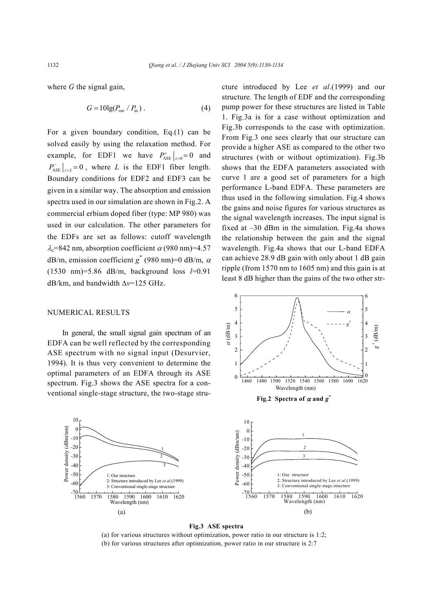where *G* the signal gain,

$$
G = 10\lg(P_{\text{out}}/P_{\text{in}}) \,. \tag{4}
$$

For a given boundary condition, Eq.(1) can be solved easily by using the relaxation method. For example, for EDF1 we have  $P_{\text{ASE}}^+ \big|_{z=0} = 0$  and  $P_{\text{ASE}}^{-} \big|_{z=L} = 0$ , where *L* is the EDF1 fiber length. Boundary conditions for EDF2 and EDF3 can be given in a similar way. The absorption and emission spectra used in our simulation are shown in Fig.2. A commercial erbium doped fiber (type: MP 980) was used in our calculation. The other parameters for the EDFs are set as follows: cutoff wavelength  $\lambda_c$ =842 nm, absorption coefficient  $\alpha$  (980 nm)=4.57 dB/m, emission coefficient  $g^*(980 \text{ nm})=0$  dB/m,  $\alpha$ (1530 nm)=5.86 dB/m, background loss *l*=0.91 dB/km, and bandwidth ∆*v*=125 GHz.

#### NUMERICAL RESULTS

In general, the small signal gain spectrum of an EDFA can be well reflected by the corresponding ASE spectrum with no signal input (Desurvier, 1994). It is thus very convenient to determine the optimal parameters of an EDFA through its ASE spectrum. Fig.3 shows the ASE spectra for a conventional single-stage structure, the two-stage stru-



# **Fig.3 ASE spectra**

α (dB/m)

(a) for various structures without optimization, power ratio in our structure is 1:2; (b) for various structures after optimization, power ratio in our structure is 2:7

cture introduced by Lee *et al*.(1999) and our structure. The length of EDF and the corresponding pump power for these structures are listed in Table 1. Fig.3a is for a case without optimization and Fig.3b corresponds to the case with optimization. From Fig.3 one sees clearly that our structure can provide a higher ASE as compared to the other two structures (with or without optimization). Fig.3b shows that the EDFA parameters associated with curve 1 are a good set of parameters for a high performance L-band EDFA. These parameters are thus used in the following simulation. Fig.4 shows the gains and noise figures for various structures as the signal wavelength increases. The input signal is fixed at –30 dBm in the simulation. Fig.4a shows the relationship between the gain and the signal wavelength. Fig.4a shows that our L-band EDFA can achieve 28.9 dB gain with only about 1 dB gain ripple (from 1570 nm to 1605 nm) and this gain is at least 8 dB higher than the gains of the two other str-

1460 1480 1500 1520 1540 1560 1580 1600 1620

Wavelength (nm)

**Fig.2** Spectra of  $\alpha$  and  $g^*$ 

α *g*\*

*g* \* (dB/m)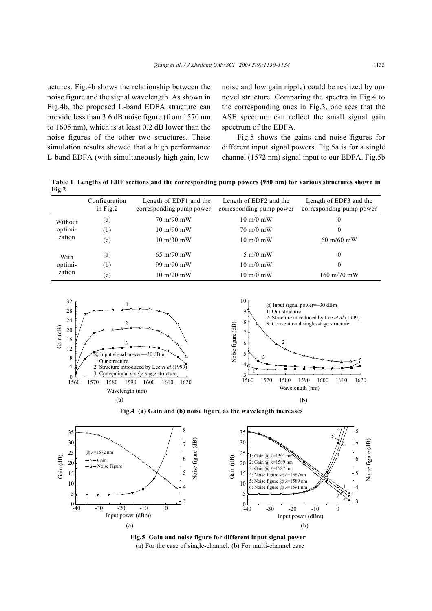uctures. Fig.4b shows the relationship between the noise figure and the signal wavelength. As shown in Fig.4b, the proposed L-band EDFA structure can provide less than 3.6 dB noise figure (from 1570 nm to 1605 nm), which is at least 0.2 dB lower than the noise figures of the other two structures. These simulation results showed that a high performance L-band EDFA (with simultaneously high gain, low

noise and low gain ripple) could be realized by our novel structure. Comparing the spectra in Fig.4 to the corresponding ones in Fig.3, one sees that the ASE spectrum can reflect the small signal gain spectrum of the EDFA.

Fig.5 shows the gains and noise figures for different input signal powers. Fig.5a is for a single channel (1572 nm) signal input to our EDFA. Fig.5b

**Table 1 Lengths of EDF sections and the corresponding pump powers (980 nm) for various structures shown in Fig.2** 

|                              | Configuration<br>in $Fig.2$ | Length of EDF1 and the<br>corresponding pump power | Length of EDF2 and the<br>corresponding pump power | Length of EDF3 and the<br>corresponding pump power |
|------------------------------|-----------------------------|----------------------------------------------------|----------------------------------------------------|----------------------------------------------------|
| Without<br>optimi-<br>zation | (a)                         | $70 \text{ m}/90 \text{ mW}$                       | $10 \text{ m}/0 \text{ mW}$                        | $\bf{0}$                                           |
|                              | (b)                         | $10 \text{ m}/90 \text{ mW}$                       | $70 \text{ m}/0 \text{ mW}$                        | $\Omega$                                           |
|                              | (c)                         | $10 \text{ m}/30 \text{ mW}$                       | $10 \text{ m}/0 \text{ mW}$                        | $60 \text{ m}/60 \text{ mW}$                       |
| With<br>optimi-<br>zation    | (a)                         | $65 \text{ m}/90 \text{ mW}$                       | $5 \text{ m}/0 \text{ mW}$                         | $\theta$                                           |
|                              | (b)                         | 99 m/90 mW                                         | $10 \text{ m}/0 \text{ mW}$                        | $\Omega$                                           |
|                              | $\left( \text{c}\right)$    | $10 \text{ m}/20 \text{ mW}$                       | $10 \text{ m}/0 \text{ mW}$                        | $160 \text{ m}/70 \text{ mW}$                      |



**Fig.4 (a) Gain and (b) noise figure as the wavelength increases** 



**Fig.5 Gain and noise figure for different input signal power**  (a) For the case of single-channel; (b) For multi-channel case